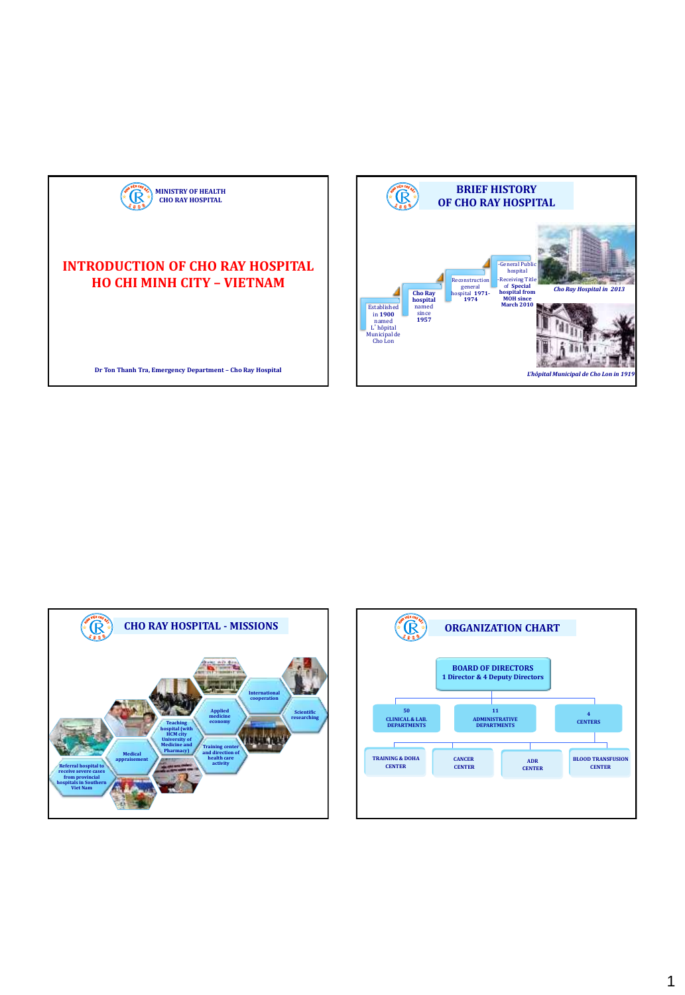

## **INTRODUCTION OF CHO RAY HOSPITAL HO CHI MINH CITY – VIETNAM**

**Dr Ton Thanh Tra, Emergency Department – Cho Ray Hospital** 





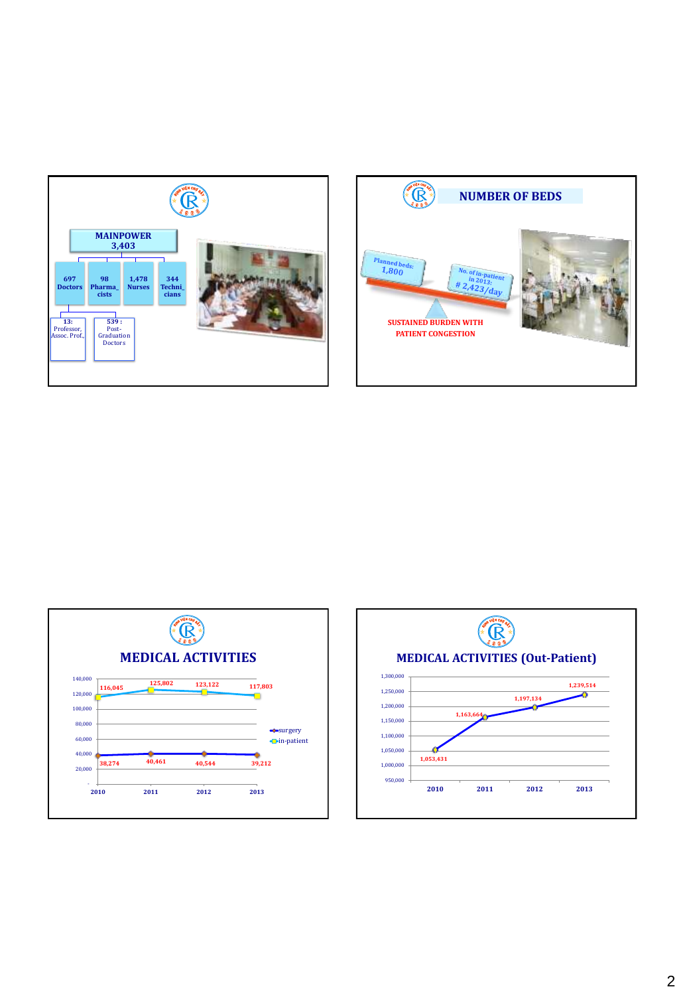





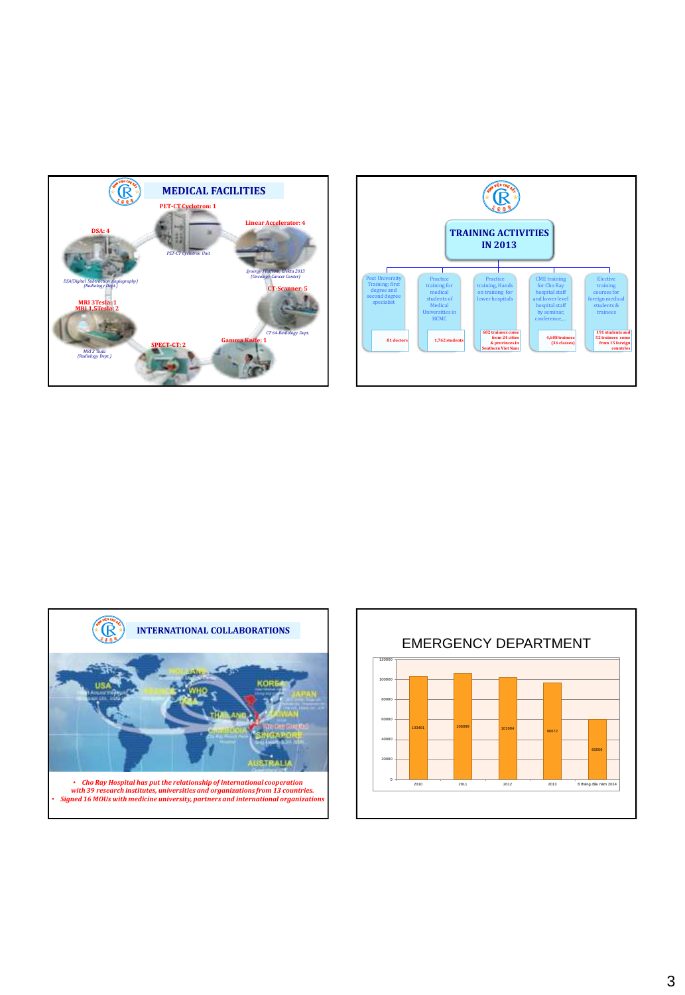





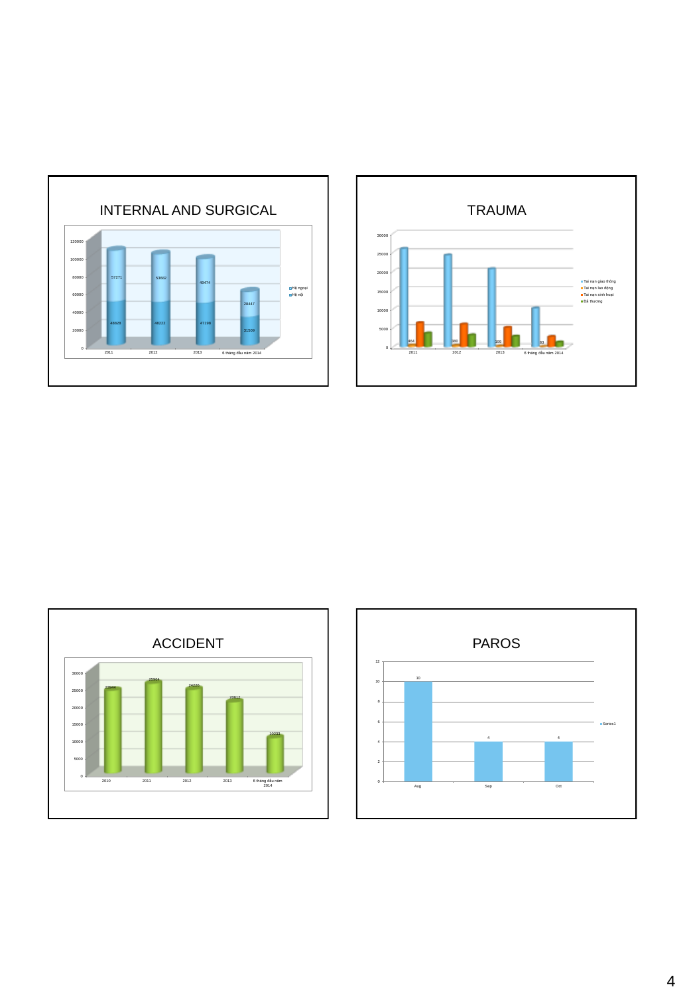